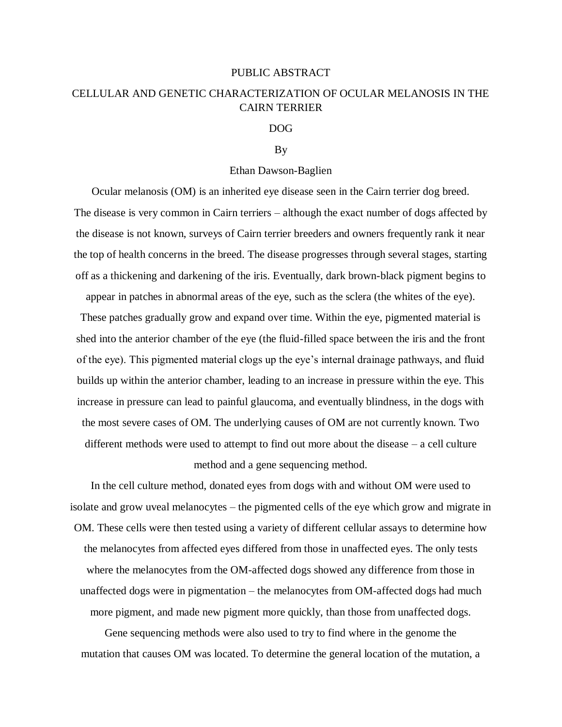## PUBLIC ABSTRACT

# CELLULAR AND GENETIC CHARACTERIZATION OF OCULAR MELANOSIS IN THE CAIRN TERRIER

## DOG

## By

## Ethan Dawson-Baglien

Ocular melanosis (OM) is an inherited eye disease seen in the Cairn terrier dog breed. The disease is very common in Cairn terriers – although the exact number of dogs affected by the disease is not known, surveys of Cairn terrier breeders and owners frequently rank it near the top of health concerns in the breed. The disease progresses through several stages, starting off as a thickening and darkening of the iris. Eventually, dark brown-black pigment begins to

appear in patches in abnormal areas of the eye, such as the sclera (the whites of the eye).

These patches gradually grow and expand over time. Within the eye, pigmented material is shed into the anterior chamber of the eye (the fluid-filled space between the iris and the front of the eye). This pigmented material clogs up the eye's internal drainage pathways, and fluid builds up within the anterior chamber, leading to an increase in pressure within the eye. This increase in pressure can lead to painful glaucoma, and eventually blindness, in the dogs with the most severe cases of OM. The underlying causes of OM are not currently known. Two different methods were used to attempt to find out more about the disease – a cell culture method and a gene sequencing method.

In the cell culture method, donated eyes from dogs with and without OM were used to isolate and grow uveal melanocytes – the pigmented cells of the eye which grow and migrate in OM. These cells were then tested using a variety of different cellular assays to determine how the melanocytes from affected eyes differed from those in unaffected eyes. The only tests where the melanocytes from the OM-affected dogs showed any difference from those in unaffected dogs were in pigmentation – the melanocytes from OM-affected dogs had much more pigment, and made new pigment more quickly, than those from unaffected dogs.

Gene sequencing methods were also used to try to find where in the genome the mutation that causes OM was located. To determine the general location of the mutation, a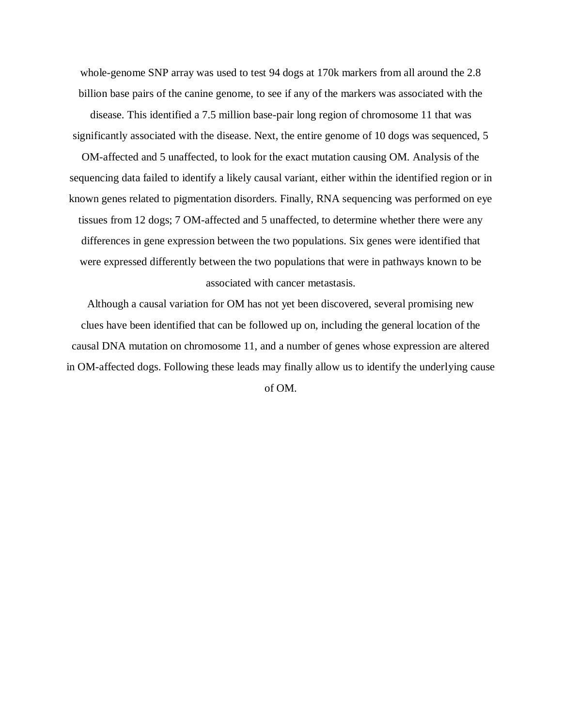whole-genome SNP array was used to test 94 dogs at 170k markers from all around the 2.8 billion base pairs of the canine genome, to see if any of the markers was associated with the disease. This identified a 7.5 million base-pair long region of chromosome 11 that was significantly associated with the disease. Next, the entire genome of 10 dogs was sequenced, 5

OM-affected and 5 unaffected, to look for the exact mutation causing OM. Analysis of the sequencing data failed to identify a likely causal variant, either within the identified region or in known genes related to pigmentation disorders. Finally, RNA sequencing was performed on eye tissues from 12 dogs; 7 OM-affected and 5 unaffected, to determine whether there were any differences in gene expression between the two populations. Six genes were identified that were expressed differently between the two populations that were in pathways known to be associated with cancer metastasis.

Although a causal variation for OM has not yet been discovered, several promising new clues have been identified that can be followed up on, including the general location of the causal DNA mutation on chromosome 11, and a number of genes whose expression are altered in OM-affected dogs. Following these leads may finally allow us to identify the underlying cause

of OM.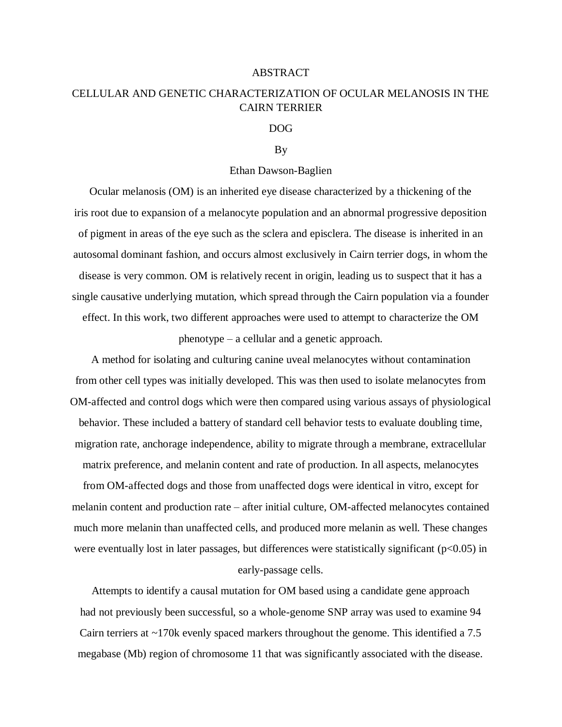#### ABSTRACT

# CELLULAR AND GENETIC CHARACTERIZATION OF OCULAR MELANOSIS IN THE CAIRN TERRIER

### DOG

#### By

## Ethan Dawson-Baglien

Ocular melanosis (OM) is an inherited eye disease characterized by a thickening of the iris root due to expansion of a melanocyte population and an abnormal progressive deposition of pigment in areas of the eye such as the sclera and episclera. The disease is inherited in an autosomal dominant fashion, and occurs almost exclusively in Cairn terrier dogs, in whom the disease is very common. OM is relatively recent in origin, leading us to suspect that it has a single causative underlying mutation, which spread through the Cairn population via a founder effect. In this work, two different approaches were used to attempt to characterize the OM phenotype – a cellular and a genetic approach.

A method for isolating and culturing canine uveal melanocytes without contamination from other cell types was initially developed. This was then used to isolate melanocytes from OM-affected and control dogs which were then compared using various assays of physiological behavior. These included a battery of standard cell behavior tests to evaluate doubling time, migration rate, anchorage independence, ability to migrate through a membrane, extracellular matrix preference, and melanin content and rate of production. In all aspects, melanocytes from OM-affected dogs and those from unaffected dogs were identical in vitro, except for melanin content and production rate – after initial culture, OM-affected melanocytes contained much more melanin than unaffected cells, and produced more melanin as well. These changes were eventually lost in later passages, but differences were statistically significant (p<0.05) in early-passage cells.

Attempts to identify a causal mutation for OM based using a candidate gene approach had not previously been successful, so a whole-genome SNP array was used to examine 94 Cairn terriers at ~170k evenly spaced markers throughout the genome. This identified a 7.5 megabase (Mb) region of chromosome 11 that was significantly associated with the disease.